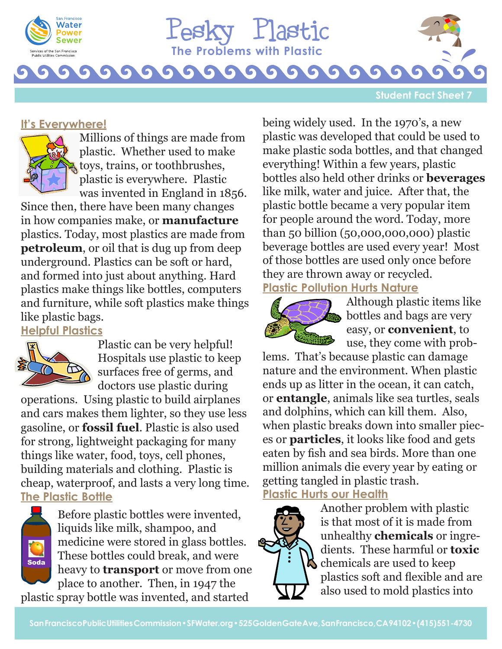

**The Problems with Plastic** Pesky Plastic

### **Student Fact Sheet**

### **It's Everywhere!**



Millions of things are made from plastic. Whether used to make toys, trains, or toothbrushes, plastic is everywhere. Plastic was invented in England in 1856.

Since then, there have been many changes in how companies make, or **manufacture** plastics. Today, most plastics are made from **petroleum**, or oil that is dug up from deep underground. Plastics can be soft or hard, and formed into just about anything. Hard plastics make things like bottles, computers and furniture, while soft plastics make things like plastic bags.

# **Helpful Plastics**



Plastic can be very helpful! Hospitals use plastic to keep surfaces free of germs, and doctors use plastic during

operations. Using plastic to build airplanes and cars makes them lighter, so they use less gasoline, or **fossil fuel**. Plastic is also used for strong, lightweight packaging for many things like water, food, toys, cell phones, building materials and clothing. Plastic is cheap, waterproof, and lasts a very long time. **The Plastic Bottle**



Before plastic bottles were invented, liquids like milk, shampoo, and medicine were stored in glass bottles. These bottles could break, and were heavy to **transport** or move from one place to another. Then, in 1947 the

plastic spray bottle was invented, and started

being widely used. In the 1970's, a new plastic was developed that could be used to make plastic soda bottles, and that changed everything! Within a few years, plastic bottles also held other drinks or **beverages** like milk, water and juice. After that, the plastic bottle became a very popular item for people around the word. Today, more than 50 billion (50,000,000,000) plastic beverage bottles are used every year! Most of those bottles are used only once before they are thrown away or recycled.

# **Plastic Pollution Hurts Nature**



Although plastic items like bottles and bags are very easy, or **convenient**, to use, they come with prob-

lems. That's because plastic can damage nature and the environment. When plastic ends up as litter in the ocean, it can catch, or **entangle**, animals like sea turtles, seals and dolphins, which can kill them. Also, when plastic breaks down into smaller pieces or **particles**, it looks like food and gets eaten by fish and sea birds. More than one million animals die every year by eating or getting tangled in plastic trash.

# **Plastic Hurts our Health**



Another problem with plastic is that most of it is made from unhealthy **chemicals** or ingredients. These harmful or **toxic**  $\boldsymbol{\lambda}$  chemicals are used to keep plastics soft and flexible and are also used to mold plastics into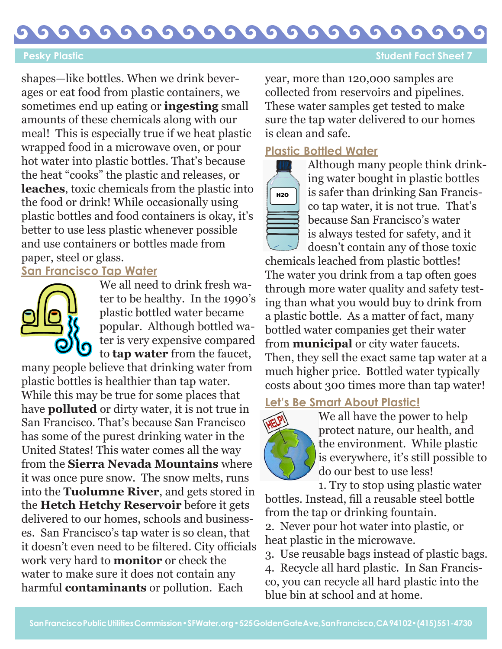G G G G G  $\bullet$ G G G O

**Pesky Plastic Sheet 7 Pesky Plastic Sheet 7 Student Fact Sheet 7** 

shapes—like bottles. When we drink beverages or eat food from plastic containers, we sometimes end up eating or **ingesting** small amounts of these chemicals along with our meal! This is especially true if we heat plastic wrapped food in a microwave oven, or pour hot water into plastic bottles. That's because the heat "cooks" the plastic and releases, or **leaches**, toxic chemicals from the plastic into the food or drink! While occasionally using plastic bottles and food containers is okay, it's better to use less plastic whenever possible and use containers or bottles made from paper, steel or glass.

## **San Francisco Tap Water**



We all need to drink fresh water to be healthy. In the 1990's plastic bottled water became popular. Although bottled water is very expensive compared to **tap water** from the faucet,

many people believe that drinking water from plastic bottles is healthier than tap water. While this may be true for some places that have **polluted** or dirty water, it is not true in San Francisco. That's because San Francisco has some of the purest drinking water in the United States! This water comes all the way from the **Sierra Nevada Mountains** where it was once pure snow. The snow melts, runs into the **Tuolumne River**, and gets stored in the **Hetch Hetchy Reservoir** before it gets delivered to our homes, schools and businesses. San Francisco's tap water is so clean, that it doesn't even need to be filtered. City officials work very hard to **monitor** or check the water to make sure it does not contain any harmful **contaminants** or pollution. Each

year, more than 120,000 samples are collected from reservoirs and pipelines. These water samples get tested to make sure the tap water delivered to our homes is clean and safe.

### **Plastic Bottled Water**



Although many people think drinking water bought in plastic bottles is safer than drinking San Francisco tap water, it is not true. That's because San Francisco's water is always tested for safety, and it doesn't contain any of those toxic

chemicals leached from plastic bottles! The water you drink from a tap often goes through more water quality and safety testing than what you would buy to drink from a plastic bottle. As a matter of fact, many bottled water companies get their water from **municipal** or city water faucets. Then, they sell the exact same tap water at a much higher price. Bottled water typically costs about 300 times more than tap water!

### **Let's Be Smart About Plastic!**



We all have the power to help protect nature, our health, and the environment. While plastic is everywhere, it's still possible to do our best to use less!

1. Try to stop using plastic water bottles. Instead, fill a reusable steel bottle from the tap or drinking fountain. 2. Never pour hot water into plastic, or heat plastic in the microwave.

3. Use reusable bags instead of plastic bags. 4. Recycle all hard plastic. In San Francisco, you can recycle all hard plastic into the blue bin at school and at home.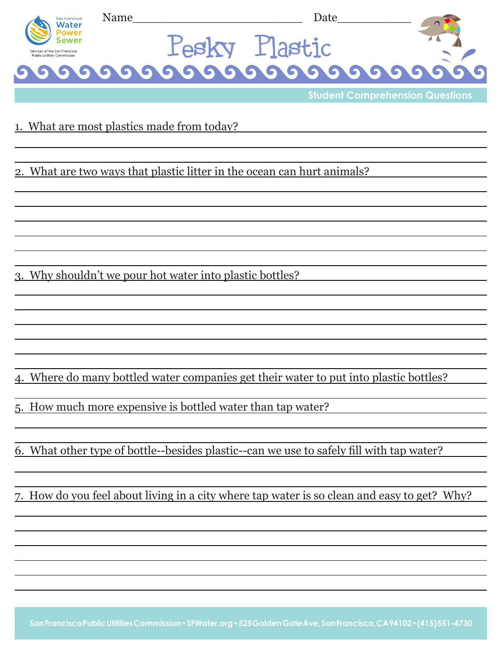| San Francisco<br>Water                                       | Name               | Jate    |  |
|--------------------------------------------------------------|--------------------|---------|--|
|                                                              |                    | Llastic |  |
| Services of the San Francisco<br>Public Utilities Commission | LASKV '            |         |  |
| G                                                            | 199999999999999999 |         |  |

**Student Comprehension Questions**

### 1. What are most plastics made from today?

2. What are two ways that plastic litter in the ocean can hurt animals?

3. Why shouldn't we pour hot water into plastic bottles?

4. Where do many bottled water companies get their water to put into plastic bottles?

5. How much more expensive is bottled water than tap water?

6. What other type of bottle--besides plastic--can we use to safely fill with tap water?

7. How do you feel about living in a city where tap water is so clean and easy to get? Why?